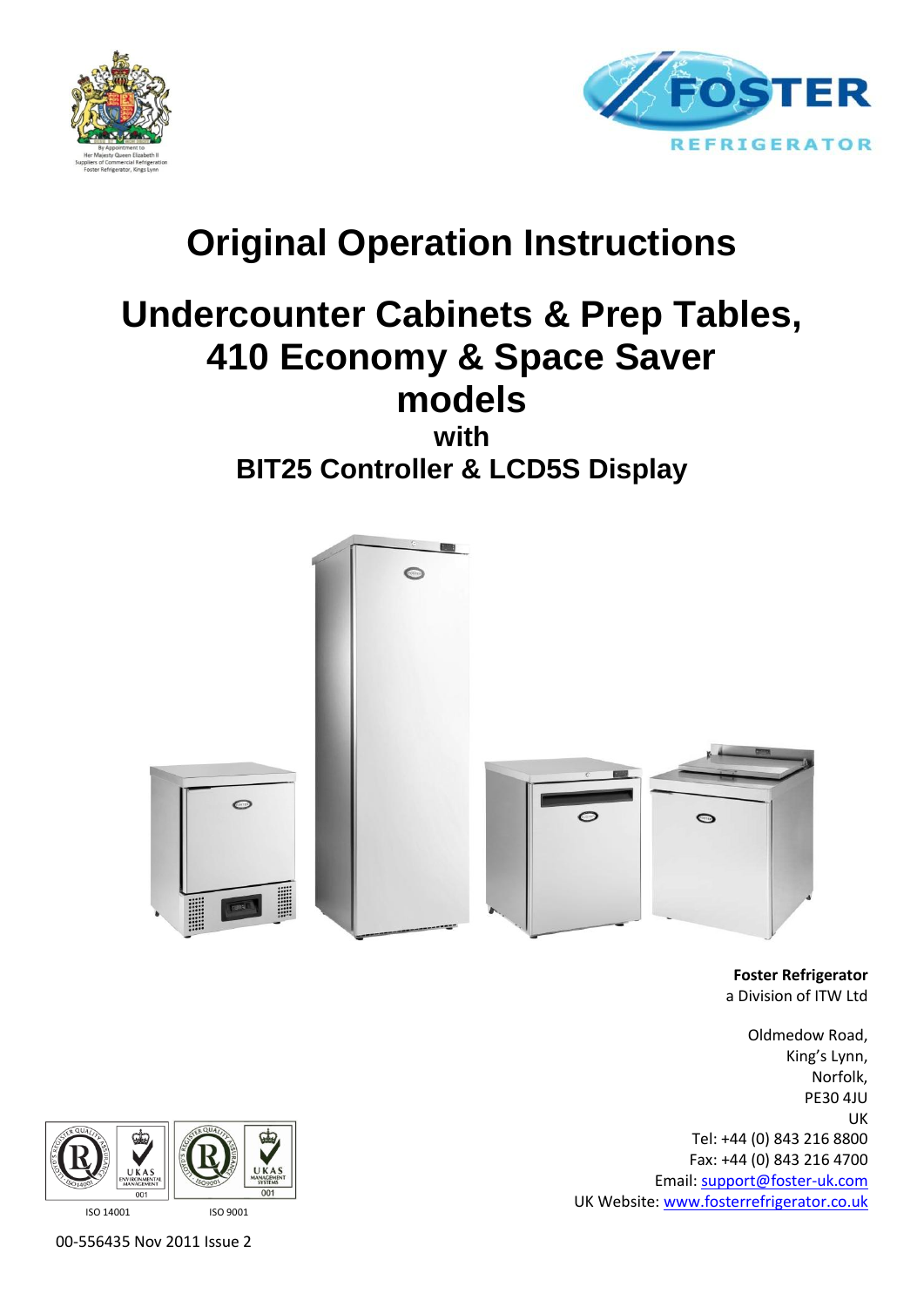



# **Original Operation Instructions**

# **Undercounter Cabinets & Prep Tables, 410 Economy & Space Saver models**

**with BIT25 Controller & LCD5S Display**



**Foster Refrigerator** a Division of ITW Ltd

Oldmedow Road, King's Lynn, Norfolk, PE30 4JU UK Tel: +44 (0) 843 216 8800 Fax: +44 (0) 843 216 4700 Email: [support@foster-uk.com](mailto:support@foster-uk.com) UK Website[: www.fosterrefrigerator.co.uk](http://www.fosterrefrigerator.co.uk/)



00-556435 Nov 2011 Issue 2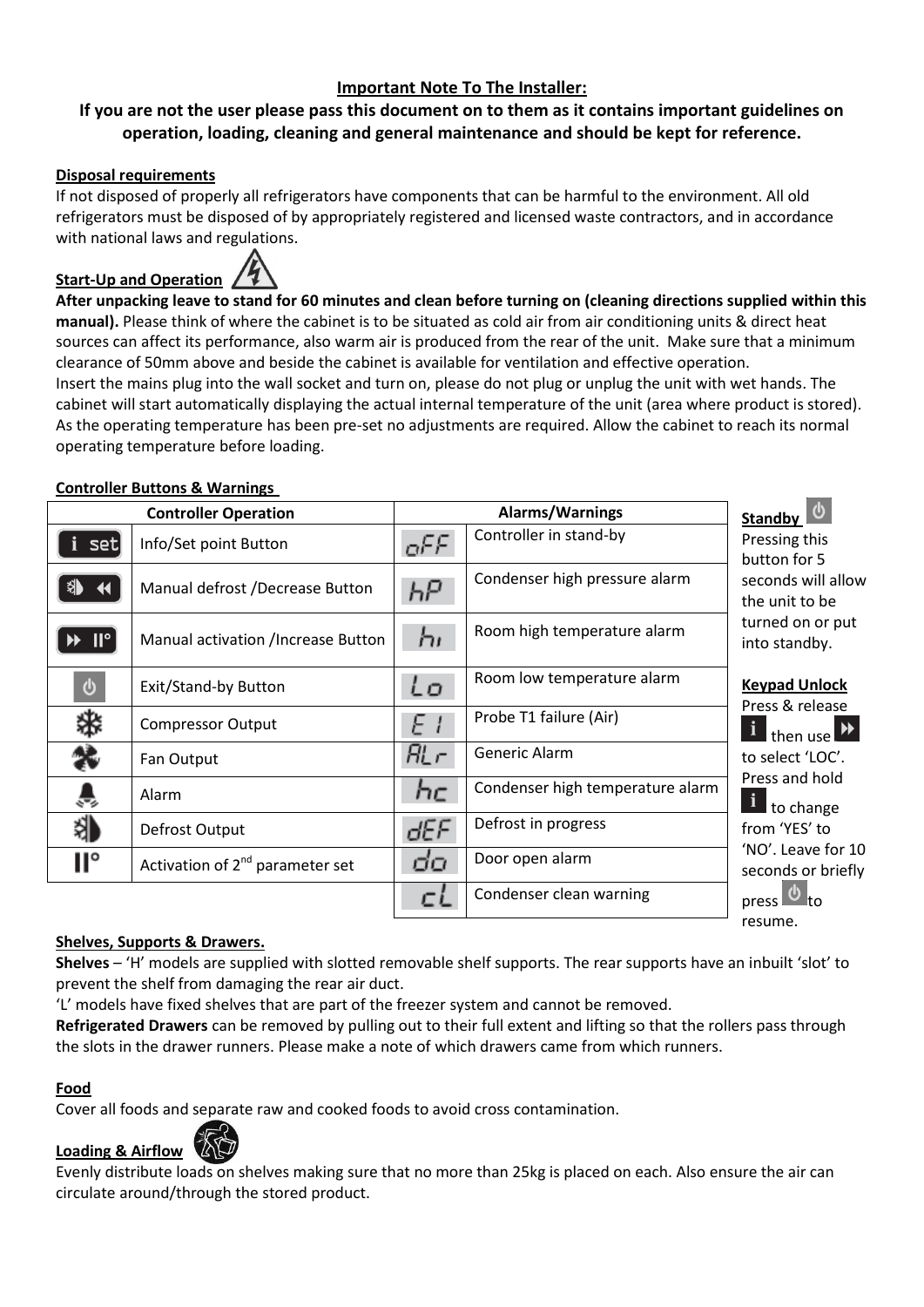## **Important Note To The Installer:**

## **If you are not the user please pass this document on to them as it contains important guidelines on operation, loading, cleaning and general maintenance and should be kept for reference.**

#### **Disposal requirements**

If not disposed of properly all refrigerators have components that can be harmful to the environment. All old refrigerators must be disposed of by appropriately registered and licensed waste contractors, and in accordance with national laws and regulations.



**After unpacking leave to stand for 60 minutes and clean before turning on (cleaning directions supplied within this manual).** Please think of where the cabinet is to be situated as cold air from air conditioning units & direct heat sources can affect its performance, also warm air is produced from the rear of the unit. Make sure that a minimum clearance of 50mm above and beside the cabinet is available for ventilation and effective operation. Insert the mains plug into the wall socket and turn on, please do not plug or unplug the unit with wet hands. The

cabinet will start automatically displaying the actual internal temperature of the unit (area where product is stored). As the operating temperature has been pre-set no adjustments are required. Allow the cabinet to reach its normal operating temperature before loading.

#### **Controller Buttons & Warnings**

| <b>Controller Operation</b> |                                             | Alarms/Warnings |                                  | Standby                                  |
|-----------------------------|---------------------------------------------|-----------------|----------------------------------|------------------------------------------|
| set                         | Info/Set point Button                       | aFF.            | Controller in stand-by           | Pressing this<br>button for 5            |
|                             | Manual defrost /Decrease Button             | ЬΡ              | Condenser high pressure alarm    | seconds will allow<br>the unit to be     |
| $\blacksquare$              | Manual activation /Increase Button          | 'nг             | Room high temperature alarm      | turned on or put<br>into standby.        |
| $\boldsymbol{\omega}$       | Exit/Stand-by Button                        | ίo              | Room low temperature alarm       | <b>Keypad Unlock</b><br>Press & release  |
|                             | <b>Compressor Output</b>                    | E I             | Probe T1 failure (Air)           | i then use                               |
|                             | Fan Output                                  | AL r            | Generic Alarm                    | to select 'LOC'.                         |
|                             | Alarm                                       | hc              | Condenser high temperature alarm | Press and hold<br>to change              |
|                             | Defrost Output                              | dEF             | Defrost in progress              | from 'YES' to                            |
| П°                          | Activation of 2 <sup>nd</sup> parameter set | бo              | Door open alarm                  | 'NO'. Leave for 10<br>seconds or briefly |
|                             |                                             |                 | Condenser clean warning          | press l                                  |

#### **Shelves, Supports & Drawers.**

**Shelves** – 'H' models are supplied with slotted removable shelf supports. The rear supports have an inbuilt 'slot' to prevent the shelf from damaging the rear air duct.

resume.

'L' models have fixed shelves that are part of the freezer system and cannot be removed.

**Refrigerated Drawers** can be removed by pulling out to their full extent and lifting so that the rollers pass through the slots in the drawer runners. Please make a note of which drawers came from which runners.

#### **Food**

Cover all foods and separate raw and cooked foods to avoid cross contamination.



Evenly distribute loads on shelves making sure that no more than 25kg is placed on each. Also ensure the air can circulate around/through the stored product.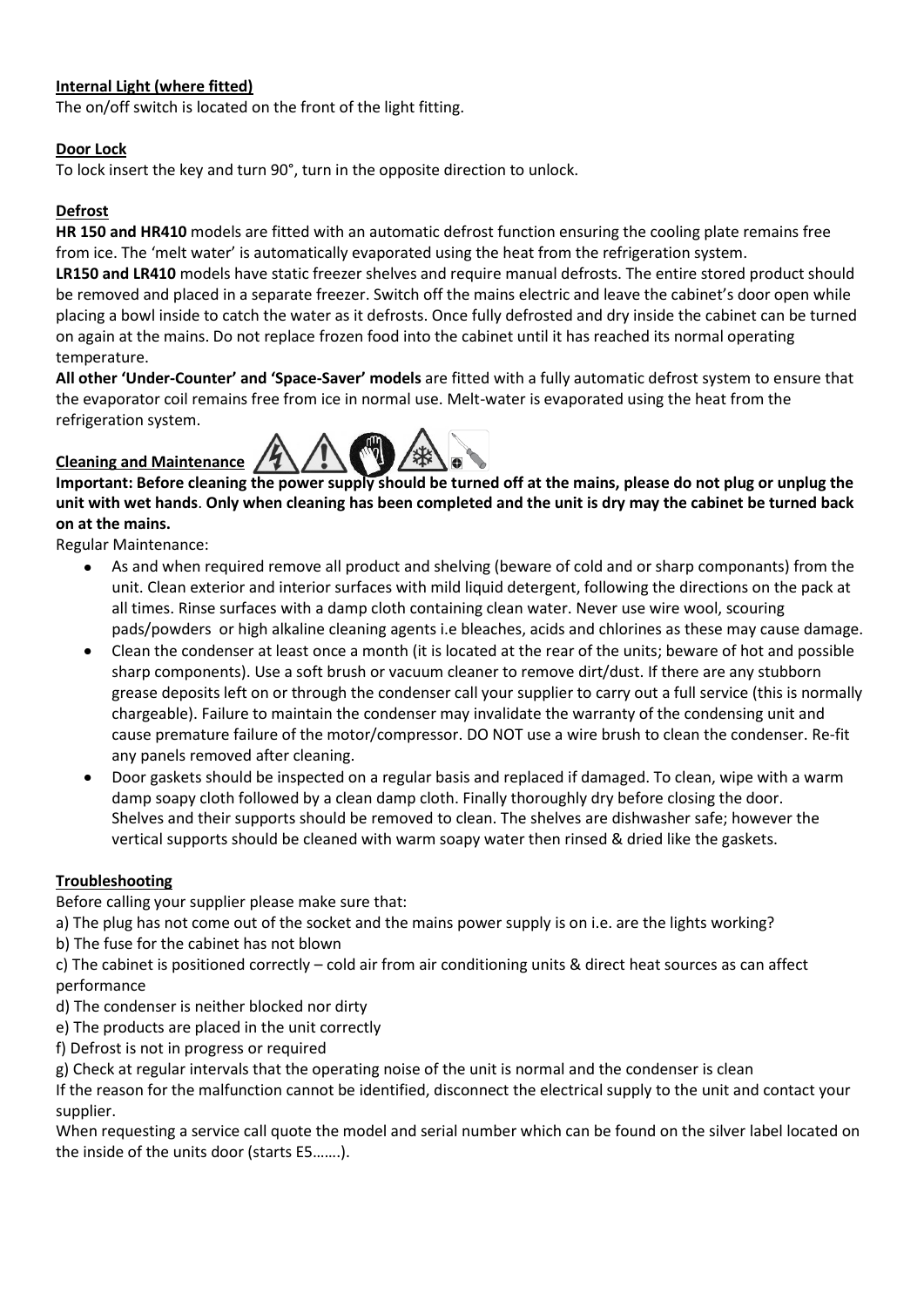## **Internal Light (where fitted)**

The on/off switch is located on the front of the light fitting.

#### **Door Lock**

To lock insert the key and turn 90°, turn in the opposite direction to unlock.

#### **Defrost**

**HR 150 and HR410** models are fitted with an automatic defrost function ensuring the cooling plate remains free from ice. The 'melt water' is automatically evaporated using the heat from the refrigeration system.

**LR150 and LR410** models have static freezer shelves and require manual defrosts. The entire stored product should be removed and placed in a separate freezer. Switch off the mains electric and leave the cabinet's door open while placing a bowl inside to catch the water as it defrosts. Once fully defrosted and dry inside the cabinet can be turned on again at the mains. Do not replace frozen food into the cabinet until it has reached its normal operating temperature.

**All other 'Under-Counter' and 'Space-Saver' models** are fitted with a fully automatic defrost system to ensure that the evaporator coil remains free from ice in normal use. Melt-water is evaporated using the heat from the refrigeration system.

## **Cleaning and Maintenance**



**Important: Before cleaning the power supply should be turned off at the mains, please do not plug or unplug the unit with wet hands**. **Only when cleaning has been completed and the unit is dry may the cabinet be turned back on at the mains.**

Regular Maintenance:

- As and when required remove all product and shelving (beware of cold and or sharp componants) from the unit. Clean exterior and interior surfaces with mild liquid detergent, following the directions on the pack at all times. Rinse surfaces with a damp cloth containing clean water. Never use wire wool, scouring pads/powders or high alkaline cleaning agents i.e bleaches, acids and chlorines as these may cause damage.
- Clean the condenser at least once a month (it is located at the rear of the units; beware of hot and possible sharp components). Use a soft brush or vacuum cleaner to remove dirt/dust. If there are any stubborn grease deposits left on or through the condenser call your supplier to carry out a full service (this is normally chargeable). Failure to maintain the condenser may invalidate the warranty of the condensing unit and cause premature failure of the motor/compressor. DO NOT use a wire brush to clean the condenser. Re-fit any panels removed after cleaning.
- Door gaskets should be inspected on a regular basis and replaced if damaged. To clean, wipe with a warm damp soapy cloth followed by a clean damp cloth. Finally thoroughly dry before closing the door. Shelves and their supports should be removed to clean. The shelves are dishwasher safe; however the vertical supports should be cleaned with warm soapy water then rinsed & dried like the gaskets.

### **Troubleshooting**

Before calling your supplier please make sure that:

a) The plug has not come out of the socket and the mains power supply is on i.e. are the lights working?

b) The fuse for the cabinet has not blown

c) The cabinet is positioned correctly – cold air from air conditioning units & direct heat sources as can affect performance

d) The condenser is neither blocked nor dirty

e) The products are placed in the unit correctly

f) Defrost is not in progress or required

g) Check at regular intervals that the operating noise of the unit is normal and the condenser is clean

If the reason for the malfunction cannot be identified, disconnect the electrical supply to the unit and contact your supplier.

When requesting a service call quote the model and serial number which can be found on the silver label located on the inside of the units door (starts E5…….).